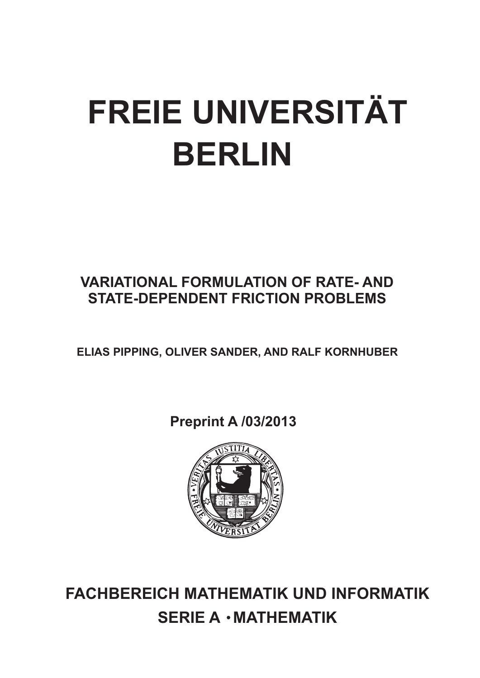# **FREIE UNIVERSITÄT BERLIN**

# **VARIATIONAL FORMULATION OF RATE- AND STATE-DEPENDENT FRICTION PROBLEMS**

**ELIAS PIPPING, OLIVER SANDER, AND RALF KORNHUBER**

**Preprint A /03/2013**



**FACHBEREICH MATHEMATIK UND INFORMATIK SERIE A · MATHEMATIK**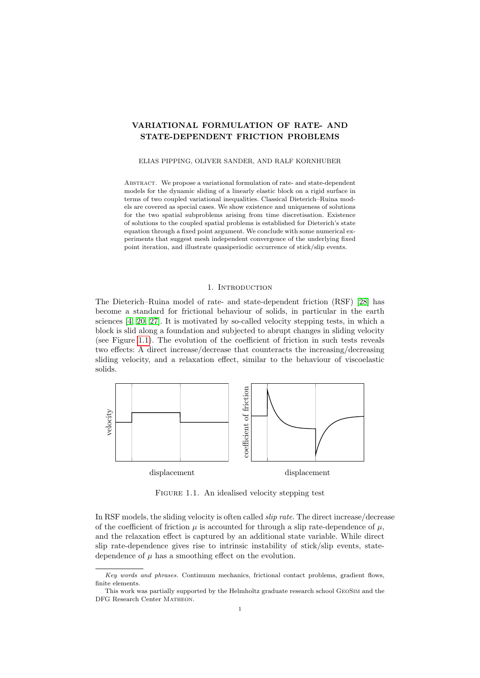# VARIATIONAL FORMULATION OF RATE- AND STATE-DEPENDENT FRICTION PROBLEMS

# ELIAS PIPPING, OLIVER SANDER, AND RALF KORNHUBER

ABSTRACT. We propose a variational formulation of rate- and state-dependent models for the dynamic sliding of a linearly elastic block on a rigid surface in terms of two coupled variational inequalities. Classical Dieterich–Ruina models are covered as special cases. We show existence and uniqueness of solutions for the two spatial subproblems arising from time discretisation. Existence of solutions to the coupled spatial problems is established for Dieterich's state equation through a fixed point argument. We conclude with some numerical experiments that suggest mesh independent convergence of the underlying fixed point iteration, and illustrate quasiperiodic occurrence of stick/slip events.

# 1. INTRODUCTION

The Dieterich–Ruina model of rate- and state-dependent friction (RSF) [\[28\]](#page-19-0) has become a standard for frictional behaviour of solids, in particular in the earth sciences [\[4,](#page-18-0) [20,](#page-19-1) [27\]](#page-19-2). It is motivated by so-called velocity stepping tests, in which a block is slid along a foundation and subjected to abrupt changes in sliding velocity (see Figure 1.1). The evolution of the coefficient of friction in such tests reveals two effects: A direct increase/decrease that counteracts the increasing/decreasing sliding velocity, and a relaxation effect, similar to the behaviour of viscoelastic solids.



FIGURE 1.1. An idealised velocity stepping test

In RSF models, the sliding velocity is often called slip rate. The direct increase/decrease of the coefficient of friction  $\mu$  is accounted for through a slip rate-dependence of  $\mu$ , and the relaxation effect is captured by an additional state variable. While direct slip rate-dependence gives rise to intrinsic instability of stick/slip events, statedependence of  $\mu$  has a smoothing effect on the evolution.

Key words and phrases. Continuum mechanics, frictional contact problems, gradient flows, finite elements.

This work was partially supported by the Helmholtz graduate research school GeoSim and the DFG Research Center Matheon.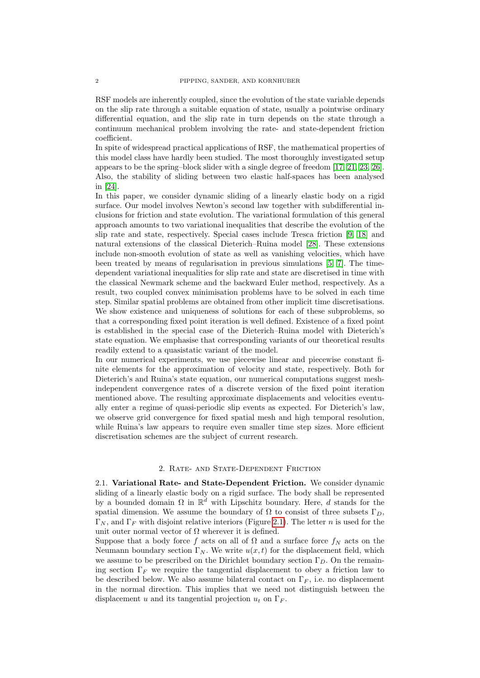RSF models are inherently coupled, since the evolution of the state variable depends on the slip rate through a suitable equation of state, usually a pointwise ordinary differential equation, and the slip rate in turn depends on the state through a continuum mechanical problem involving the rate- and state-dependent friction coefficient.

In spite of widespread practical applications of RSF, the mathematical properties of this model class have hardly been studied. The most thoroughly investigated setup appears to be the spring–block slider with a single degree of freedom [\[17,](#page-19-3) [21,](#page-19-4) [23,](#page-19-5) [26\]](#page-19-6). Also, the stability of sliding between two elastic half-spaces has been analysed in [\[24\]](#page-19-7).

In this paper, we consider dynamic sliding of a linearly elastic body on a rigid surface. Our model involves Newton's second law together with subdifferential inclusions for friction and state evolution. The variational formulation of this general approach amounts to two variational inequalities that describe the evolution of the slip rate and state, respectively. Special cases include Tresca friction [\[9,](#page-18-1) [18\]](#page-19-8) and natural extensions of the classical Dieterich–Ruina model [\[28\]](#page-19-0). These extensions include non-smooth evolution of state as well as vanishing velocities, which have been treated by means of regularisation in previous simulations [\[5,](#page-18-2) [7\]](#page-18-3). The timedependent variational inequalities for slip rate and state are discretised in time with the classical Newmark scheme and the backward Euler method, respectively. As a result, two coupled convex minimisation problems have to be solved in each time step. Similar spatial problems are obtained from other implicit time discretisations. We show existence and uniqueness of solutions for each of these subproblems, so that a corresponding fixed point iteration is well defined. Existence of a fixed point is established in the special case of the Dieterich–Ruina model with Dieterich's state equation. We emphasise that corresponding variants of our theoretical results readily extend to a quasistatic variant of the model.

In our numerical experiments, we use piecewise linear and piecewise constant finite elements for the approximation of velocity and state, respectively. Both for Dieterich's and Ruina's state equation, our numerical computations suggest meshindependent convergence rates of a discrete version of the fixed point iteration mentioned above. The resulting approximate displacements and velocities eventually enter a regime of quasi-periodic slip events as expected. For Dieterich's law, we observe grid convergence for fixed spatial mesh and high temporal resolution, while Ruina's law appears to require even smaller time step sizes. More efficient discretisation schemes are the subject of current research.

#### 2. Rate- and State-Dependent Friction

2.1. Variational Rate- and State-Dependent Friction. We consider dynamic sliding of a linearly elastic body on a rigid surface. The body shall be represented by a bounded domain  $\Omega$  in  $\mathbb{R}^d$  with Lipschitz boundary. Here, d stands for the spatial dimension. We assume the boundary of  $\Omega$  to consist of three subsets  $\Gamma_D$ ,  $\Gamma_N$ , and  $\Gamma_F$  with disjoint relative interiors (Figure 2.1). The letter n is used for the unit outer normal vector of  $\Omega$  wherever it is defined.

Suppose that a body force f acts on all of  $\Omega$  and a surface force  $f_N$  acts on the Neumann boundary section  $\Gamma_N$ . We write  $u(x, t)$  for the displacement field, which we assume to be prescribed on the Dirichlet boundary section  $\Gamma_D$ . On the remaining section  $\Gamma_F$  we require the tangential displacement to obey a friction law to be described below. We also assume bilateral contact on  $\Gamma_F$ , i.e. no displacement in the normal direction. This implies that we need not distinguish between the displacement u and its tangential projection  $u_t$  on  $\Gamma_F$ .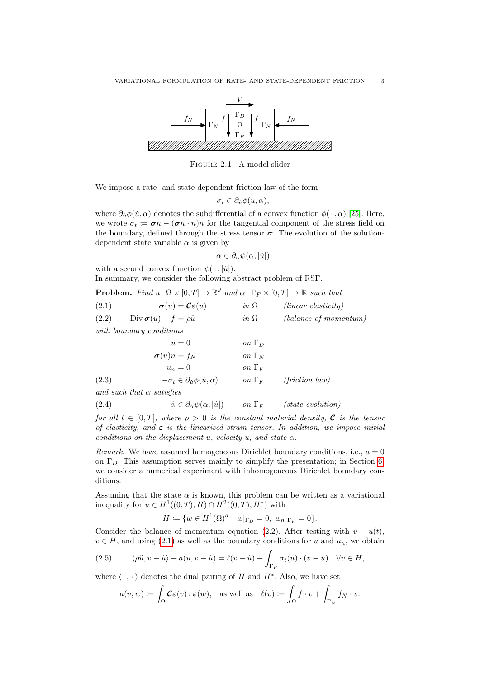

Figure 2.1. A model slider

We impose a rate- and state-dependent friction law of the form

$$
-\sigma_t \in \partial_{\dot{u}} \phi(\dot{u}, \alpha),
$$

where  $\partial_{\dot{u}}\phi(\dot{u},\alpha)$  denotes the subdifferential of a convex function  $\phi(\cdot,\alpha)$  [\[25\]](#page-19-9). Here, we wrote  $\sigma_t := \boldsymbol{\sigma} n - (\boldsymbol{\sigma} n \cdot n)n$  for the tangential component of the stress field on the boundary, defined through the stress tensor  $\sigma$ . The evolution of the solutiondependent state variable  $\alpha$  is given by

$$
-\dot{\alpha} \in \partial_{\alpha} \psi(\alpha, |\dot{u}|)
$$

with a second convex function  $\psi(\cdot, |\dot{u}|)$ . In summary, we consider the following abstract problem of RSF.

|  |  |  | <b>Problem.</b> Find $u: \Omega \times [0,T] \to \mathbb{R}^d$ and $\alpha: \Gamma_F \times [0,T] \to \mathbb{R}$ such that |
|--|--|--|-----------------------------------------------------------------------------------------------------------------------------|
|--|--|--|-----------------------------------------------------------------------------------------------------------------------------|

<span id="page-3-1"></span><span id="page-3-0"></span>

| (2.1) | $\sigma(u) = \mathcal{C}\varepsilon(u)$                      | $in \Omega$   | $(linear$ elasticity)    |
|-------|--------------------------------------------------------------|---------------|--------------------------|
| (2.2) | $Div \boldsymbol{\sigma}(u) + f = \rho \ddot{u}$             | in $\Omega$   | (balance of momentum)    |
|       | with boundary conditions                                     |               |                          |
|       | $u=0$                                                        | on $\Gamma_D$ |                          |
|       | $\sigma(u)n = f_N$                                           | on $\Gamma_N$ |                          |
|       | $u_n=0$                                                      | on $\Gamma_F$ |                          |
| (2.3) | $-\sigma_t \in \partial_{\dot{u}} \phi(\dot{u}, \alpha)$     | on $\Gamma_F$ | $(friterion \, law)$     |
|       | and such that $\alpha$ satisfies                             |               |                          |
| (2.4) | $-\dot{\alpha} \in \partial_{\alpha} \psi(\alpha, \dot{u} )$ | on $\Gamma_F$ | <i>(state evolution)</i> |

<span id="page-3-4"></span><span id="page-3-2"></span>for all  $t \in [0, T]$ , where  $\rho > 0$  is the constant material density, C is the tensor of elasticity, and  $\varepsilon$  is the linearised strain tensor. In addition, we impose initial conditions on the displacement u, velocity  $\dot{u}$ , and state  $\alpha$ .

*Remark.* We have assumed homogeneous Dirichlet boundary conditions, i.e.,  $u = 0$ on  $\Gamma_D$ . This assumption serves mainly to simplify the presentation; in Section 6, we consider a numerical experiment with inhomogeneous Dirichlet boundary conditions.

Assuming that the state  $\alpha$  is known, this problem can be written as a variational inequality for  $u \in H^1((0,T),H) \cap H^2((0,T),H^*)$  with

$$
H := \{ w \in H^1(\Omega)^d : w|_{\Gamma_D} = 0, w_n|_{\Gamma_F} = 0 \}.
$$

Consider the balance of momentum equation [\(2.2\)](#page-3-0). After testing with  $v - \dot{u}(t)$ ,  $v \in H$ , and using [\(2.1\)](#page-3-1) as well as the boundary conditions for u and  $u_n$ , we obtain

(2.5) 
$$
\langle \rho \ddot{u}, v - \dot{u} \rangle + a(u, v - \dot{u}) = \ell(v - \dot{u}) + \int_{\Gamma_F} \sigma_t(u) \cdot (v - \dot{u}) \quad \forall v \in H,
$$

where  $\langle \cdot, \cdot \rangle$  denotes the dual pairing of H and  $H^*$ . Also, we have set

<span id="page-3-3"></span>
$$
a(v, w) := \int_{\Omega} \mathcal{C} \varepsilon(v) \colon \varepsilon(w), \quad \text{as well as} \quad \ell(v) := \int_{\Omega} f \cdot v + \int_{\Gamma_N} f_N \cdot v.
$$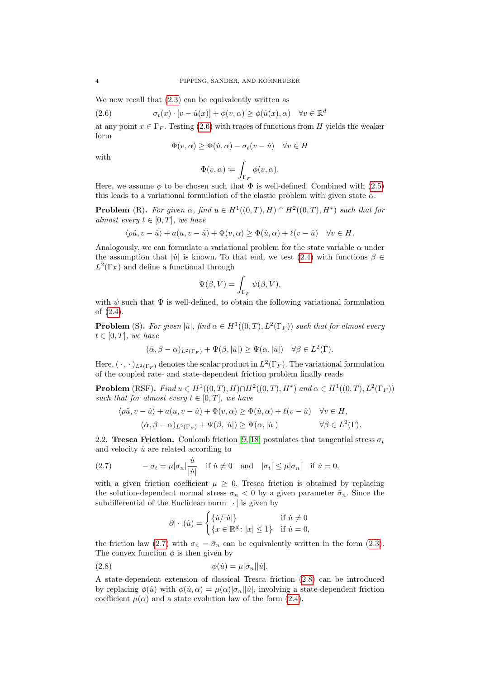We now recall that  $(2.3)$  can be equivalently written as

(2.6) 
$$
\sigma_t(x) \cdot [v - \dot{u}(x)] + \phi(v, \alpha) \ge \phi(\dot{u}(x), \alpha) \quad \forall v \in \mathbb{R}^d
$$

at any point  $x \in \Gamma_F$ . Testing [\(2.6\)](#page-4-0) with traces of functions from H yields the weaker form

<span id="page-4-0"></span>
$$
\Phi(v, \alpha) \ge \Phi(\dot{u}, \alpha) - \sigma_t(v - \dot{u}) \quad \forall v \in H
$$

with

$$
\Phi(v,\alpha) \coloneqq \int_{\Gamma_F} \phi(v,\alpha).
$$

Here, we assume  $\phi$  to be chosen such that  $\Phi$  is well-defined. Combined with [\(2.5\)](#page-3-3) this leads to a variational formulation of the elastic problem with given state  $\alpha$ .

**Problem** (R). For given  $\alpha$ , find  $u \in H^1((0,T),H) \cap H^2((0,T),H^*)$  such that for almost every  $t \in [0, T]$ , we have

$$
\langle \rho \ddot{u}, v - \dot{u} \rangle + a(u, v - \dot{u}) + \Phi(v, \alpha) \ge \Phi(\dot{u}, \alpha) + \ell(v - \dot{u}) \quad \forall v \in H.
$$

Analogously, we can formulate a variational problem for the state variable  $\alpha$  under the assumption that  $|\dot{u}|$  is known. To that end, we test [\(2.4\)](#page-3-4) with functions  $\beta \in$  $L^2(\Gamma_F)$  and define a functional through

$$
\Psi(\beta, V) = \int_{\Gamma_F} \psi(\beta, V),
$$

with  $\psi$  such that  $\Psi$  is well-defined, to obtain the following variational formulation of [\(2.4\)](#page-3-4).

**Problem** (S). For given  $|\dot{u}|$ , find  $\alpha \in H^1((0,T), L^2(\Gamma_F))$  such that for almost every  $t \in [0, T]$ , we have

$$
(\dot{\alpha}, \beta - \alpha)_{L^2(\Gamma_F)} + \Psi(\beta, |\dot{u}|) \ge \Psi(\alpha, |\dot{u}|) \quad \forall \beta \in L^2(\Gamma).
$$

Here,  $(\cdot, \cdot)_{L^2(\Gamma_F)}$  denotes the scalar product in  $L^2(\Gamma_F)$ . The variational formulation of the coupled rate- and state-dependent friction problem finally reads

**Problem** (RSF). Find  $u \in H^1((0,T),H) \cap H^2((0,T),H^*)$  and  $\alpha \in H^1((0,T),L^2(\Gamma_F))$ such that for almost every  $t \in [0, T]$ , we have

$$
\langle \rho \ddot{u}, v - \dot{u} \rangle + a(u, v - \dot{u}) + \Phi(v, \alpha) \ge \Phi(\dot{u}, \alpha) + \ell(v - \dot{u}) \quad \forall v \in H,
$$
  

$$
(\dot{\alpha}, \beta - \alpha)_{L^2(\Gamma_F)} + \Psi(\beta, |\dot{u}|) \ge \Psi(\alpha, |\dot{u}|) \qquad \forall \beta \in L^2(\Gamma).
$$

2.2. Tresca Friction. Coulomb friction [\[9,](#page-18-1) [18\]](#page-19-8) postulates that tangential stress  $\sigma_t$ and velocity  $\dot{u}$  are related according to

<span id="page-4-1"></span>(2.7) 
$$
-\sigma_t = \mu |\sigma_n| \frac{\dot{u}}{|\dot{u}|} \quad \text{if } \dot{u} \neq 0 \quad \text{and} \quad |\sigma_t| \leq \mu |\sigma_n| \quad \text{if } \dot{u} = 0,
$$

with a given friction coefficient  $\mu \geq 0$ . Tresca friction is obtained by replacing the solution-dependent normal stress  $\sigma_n < 0$  by a given parameter  $\bar{\sigma}_n$ . Since the subdifferential of the Euclidean norm  $|\cdot|$  is given by

<span id="page-4-2"></span>
$$
\partial |\cdot|(u) = \begin{cases} \{u/|u|\} & \text{if } u \neq 0\\ \{x \in \mathbb{R}^d \colon |x| \le 1\} & \text{if } u = 0, \end{cases}
$$

the friction law [\(2.7\)](#page-4-1) with  $\sigma_n = \bar{\sigma}_n$  can be equivalently written in the form [\(2.3\)](#page-3-2). The convex function  $\phi$  is then given by

(2.8) 
$$
\phi(\dot{u}) = \mu |\bar{\sigma}_n||\dot{u}|.
$$

A state-dependent extension of classical Tresca friction [\(2.8\)](#page-4-2) can be introduced by replacing  $\phi(u)$  with  $\phi(u, \alpha) = \mu(\alpha)|\bar{\sigma}_n||u|$ , involving a state-dependent friction coefficient  $\mu(\alpha)$  and a state evolution law of the form [\(2.4\)](#page-3-4).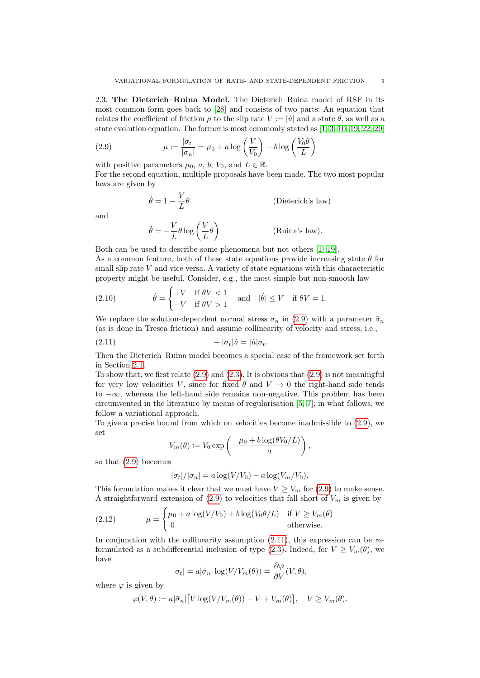2.3. The Dieterich–Ruina Model. The Dieterich–Ruina model of RSF in its most common form goes back to [\[28\]](#page-19-0) and consists of two parts: An equation that relates the coefficient of friction  $\mu$  to the slip rate  $V \coloneqq |\dot{u}|$  and a state  $\theta$ , as well as a state evolution equation. The former is most commonly stated as [\[1,](#page-18-4) [3,](#page-18-5) [10,](#page-18-6) [19,](#page-19-10) [22,](#page-19-11) [29\]](#page-19-12)

(2.9) 
$$
\mu := \frac{|\sigma_t|}{|\sigma_n|} = \mu_0 + a \log \left(\frac{V}{V_0}\right) + b \log \left(\frac{V_0 \theta}{L}\right)
$$

with positive parameters  $\mu_0$ , a, b,  $V_0$ , and  $L \in \mathbb{R}$ .

For the second equation, multiple proposals have been made. The two most popular laws are given by

<span id="page-5-0"></span>
$$
\dot{\theta} = 1 - \frac{V}{L}\theta
$$
 (Dieterich's law)  

$$
\dot{\theta} = -\frac{V}{L}\theta \log\left(\frac{V}{L}\theta\right)
$$
 (Ruina's law).

and

Both can be used to describe some phenomena but not others [\[1,](#page-18-4) [19\]](#page-19-10). As a common feature, both of these state equations provide increasing state  $\theta$  for small slip rate  $V$  and vice versa. A variety of state equations with this characteristic property might be useful. Consider, e.g., the most simple but non-smooth law

<span id="page-5-3"></span>(2.10) 
$$
\dot{\theta} = \begin{cases} +V & \text{if } \theta V < 1 \\ -V & \text{if } \theta V > 1 \end{cases} \text{ and } |\dot{\theta}| \le V & \text{if } \theta V = 1.
$$

We replace the solution-dependent normal stress  $\sigma_n$  in [\(2.9\)](#page-5-0) with a parameter  $\bar{\sigma}_n$ (as is done in Tresca friction) and assume collinearity of velocity and stress, i.e.,

$$
-(2.11) \t\t -|\sigma_t| \dot{u} = |\dot{u}|\sigma_t.
$$

Then the Dieterich–Ruina model becomes a special case of the framework set forth in Section 2.1.

To show that, we first relate  $(2.9)$  and  $(2.3)$ . It is obvious that  $(2.9)$  is not meaningful for very low velocities V, since for fixed  $\theta$  and  $V \rightarrow 0$  the right-hand side tends to −∞, whereas the left-hand side remains non-negative. This problem has been circumvented in the literature by means of regularisation [\[5,](#page-18-2) [7\]](#page-18-3); in what follows, we follow a variational approach.

To give a precise bound from which on velocities become inadmissible to [\(2.9\)](#page-5-0), we set

<span id="page-5-1"></span>
$$
V_m(\theta) \coloneqq V_0 \exp\left(-\frac{\mu_0 + b \log(\theta V_0/L)}{a}\right),\,
$$

so that [\(2.9\)](#page-5-0) becomes

<span id="page-5-2"></span>
$$
|\sigma_t|/|\bar{\sigma}_n| = a \log(V/V_0) - a \log(V_m/V_0).
$$

This formulation makes it clear that we must have  $V \geq V_m$  for [\(2.9\)](#page-5-0) to make sense. A straightforward extension of [\(2.9\)](#page-5-0) to velocities that fall short of  $V_m$  is given by

(2.12) 
$$
\mu = \begin{cases} \mu_0 + a \log(V/V_0) + b \log(V_0 \theta/L) & \text{if } V \ge V_m(\theta) \\ 0 & \text{otherwise.} \end{cases}
$$

In conjunction with the collinearity assumption [\(2.11\)](#page-5-1), this expression can be re-formulated as a subdifferential inclusion of type [\(2.3\)](#page-3-2). Indeed, for  $V \ge V_m(\theta)$ , we have

$$
|\sigma_t| = a|\bar{\sigma}_n| \log(V/V_m(\theta)) = \frac{\partial \varphi}{\partial V}(V, \theta),
$$

where  $\varphi$  is given by

$$
\varphi(V,\theta) \coloneqq a|\bar{\sigma}_n|\big[V\log(V/V_m(\theta))-V+V_m(\theta)\big], \quad V \ge V_m(\theta).
$$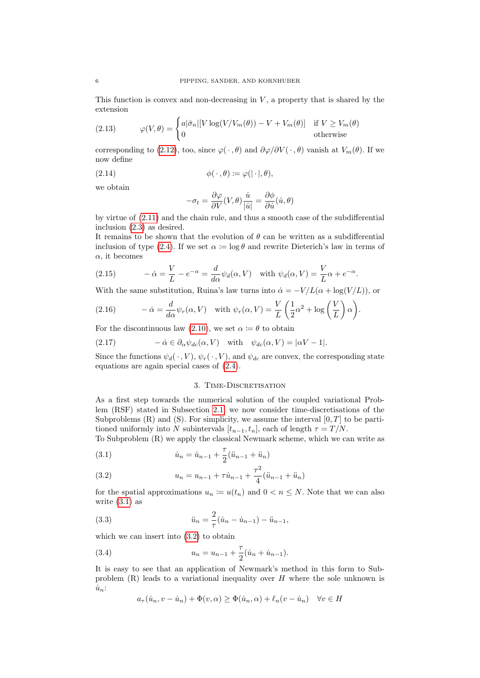This function is convex and non-decreasing in  $V$ , a property that is shared by the extension

<span id="page-6-7"></span>(2.13) 
$$
\varphi(V,\theta) = \begin{cases} a|\bar{\sigma}_n|[V \log(V/V_m(\theta)) - V + V_m(\theta)] & \text{if } V \ge V_m(\theta) \\ 0 & \text{otherwise} \end{cases}
$$

corresponding to [\(2.12\)](#page-5-2), too, since  $\varphi(\cdot, \theta)$  and  $\partial \varphi/\partial V(\cdot, \theta)$  vanish at  $V_m(\theta)$ . If we now define

(2.14) 
$$
\phi(\cdot,\theta) \coloneqq \varphi(|\cdot|,\theta),
$$

we obtain

<span id="page-6-3"></span>
$$
-\sigma_t = \frac{\partial \varphi}{\partial V}(V, \theta) \frac{\dot{u}}{|\dot{u}|} = \frac{\partial \phi}{\partial \dot{u}}(\dot{u}, \theta)
$$

by virtue of [\(2.11\)](#page-5-1) and the chain rule, and thus a smooth case of the subdifferential inclusion [\(2.3\)](#page-3-2) as desired.

It remains to be shown that the evolution of  $\theta$  can be written as a subdifferential inclusion of type [\(2.4\)](#page-3-4). If we set  $\alpha := \log \theta$  and rewrite Dieterich's law in terms of  $\alpha$ , it becomes

<span id="page-6-4"></span>(2.15) 
$$
-\dot{\alpha} = \frac{V}{L} - e^{-\alpha} = \frac{d}{d\alpha} \psi_d(\alpha, V) \text{ with } \psi_d(\alpha, V) = \frac{V}{L} \alpha + e^{-\alpha}.
$$

With the same substitution, Ruina's law turns into  $\dot{\alpha} = -V/L(\alpha + \log(V/L))$ , or

<span id="page-6-5"></span>(2.16) 
$$
-\dot{\alpha} = \frac{d}{d\alpha} \psi_r(\alpha, V) \text{ with } \psi_r(\alpha, V) = \frac{V}{L} \left(\frac{1}{2}\alpha^2 + \log\left(\frac{V}{L}\right)\alpha\right).
$$

For the discontinuous law [\(2.10\)](#page-5-3), we set  $\alpha = \theta$  to obtain

<span id="page-6-6"></span>(2.17) 
$$
-\dot{\alpha} \in \partial_{\alpha} \psi_{dc}(\alpha, V) \text{ with } \psi_{dc}(\alpha, V) = |\alpha V - 1|.
$$

Since the functions  $\psi_d(\cdot, V)$ ,  $\psi_r(\cdot, V)$ , and  $\psi_{dc}$  are convex, the corresponding state equations are again special cases of [\(2.4\)](#page-3-4).

# 3. TIME-DISCRETISATION

As a first step towards the numerical solution of the coupled variational Problem (RSF) stated in Subsection 2.1, we now consider time-discretisations of the Subproblems  $(R)$  and  $(S)$ . For simplicity, we assume the interval  $[0, T]$  to be partitioned uniformly into N subintervals  $[t_{n-1}, t_n]$ , each of length  $\tau = T/N$ .

To Subproblem (R) we apply the classical Newmark scheme, which we can write as

<span id="page-6-0"></span>(3.1) 
$$
\dot{u}_n = \dot{u}_{n-1} + \frac{\tau}{2}(\ddot{u}_{n-1} + \ddot{u}_n)
$$

<span id="page-6-1"></span>(3.2) 
$$
u_n = u_{n-1} + \tau \dot{u}_{n-1} + \frac{\tau^2}{4} (\ddot{u}_{n-1} + \ddot{u}_n)
$$

for the spatial approximations  $u_n := u(t_n)$  and  $0 < n < N$ . Note that we can also write  $(3.1)$  as

(3.3) 
$$
\ddot{u}_n = \frac{2}{\tau} (\dot{u}_n - \dot{u}_{n-1}) - \ddot{u}_{n-1},
$$

which we can insert into [\(3.2\)](#page-6-1) to obtain

(3.4) 
$$
u_n = u_{n-1} + \frac{\tau}{2}(\dot{u}_n + \dot{u}_{n-1}).
$$

It is easy to see that an application of Newmark's method in this form to Subproblem  $(R)$  leads to a variational inequality over H where the sole unknown is  $\dot{u}_n$ :

<span id="page-6-2"></span>
$$
a_{\tau}(\dot{u}_n, v - \dot{u}_n) + \Phi(v, \alpha) \ge \Phi(\dot{u}_n, \alpha) + \ell_n(v - \dot{u}_n) \quad \forall v \in H
$$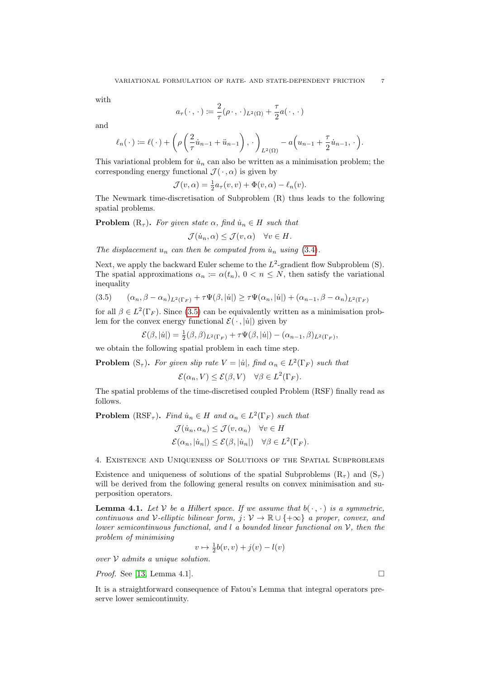with

$$
a_{\tau}(\,\cdot\,,\,\cdot\,):=\frac{2}{\tau}(\rho\cdot,\,\cdot\,)_{L^2(\Omega)}+\frac{\tau}{2}a(\,\cdot\,,\,\cdot\,)
$$

and

$$
\ell_n(\cdot) := \ell(\cdot) + \left(\rho\left(\frac{2}{\tau}\dot{u}_{n-1} + \ddot{u}_{n-1}\right), \cdot\right)_{L^2(\Omega)} - a\left(u_{n-1} + \frac{\tau}{2}\dot{u}_{n-1}, \cdot\right).
$$

This variational problem for  $\dot{u}_n$  can also be written as a minimisation problem; the corresponding energy functional  $\mathcal{J}(\cdot, \alpha)$  is given by

$$
\mathcal{J}(v,\alpha) = \frac{1}{2}a_{\tau}(v,v) + \Phi(v,\alpha) - \ell_n(v).
$$

The Newmark time-discretisation of Subproblem (R) thus leads to the following spatial problems.

**Problem**  $(R_{\tau})$ . For given state  $\alpha$ , find  $\dot{u}_n \in H$  such that

$$
\mathcal{J}(\dot{u}_n,\alpha) \leq \mathcal{J}(v,\alpha) \quad \forall v \in H.
$$

The displacement  $u_n$  can then be computed from  $\dot{u}_n$  using [\(3.4\)](#page-6-2).

Next, we apply the backward Euler scheme to the  $L^2$ -gradient flow Subproblem  $(S)$ . The spatial approximations  $\alpha_n := \alpha(t_n)$ ,  $0 < n \leq N$ , then satisfy the variational inequality

<span id="page-7-0"></span>
$$
(3.5) \qquad (\alpha_n, \beta - \alpha_n)_{L^2(\Gamma_F)} + \tau \Psi(\beta, |\dot{u}|) \ge \tau \Psi(\alpha_n, |\dot{u}|) + (\alpha_{n-1}, \beta - \alpha_n)_{L^2(\Gamma_F)}
$$

for all  $\beta \in L^2(\Gamma_F)$ . Since [\(3.5\)](#page-7-0) can be equivalently written as a minimisation problem for the convex energy functional  $\mathcal{E}(\cdot, |\dot{u}|)$  given by

$$
\mathcal{E}(\beta,|\dot{u}|) = \frac{1}{2}(\beta,\beta)_{L^2(\Gamma_F)} + \tau \Psi(\beta,|\dot{u}|) - (\alpha_{n-1},\beta)_{L^2(\Gamma_F)},
$$

we obtain the following spatial problem in each time step.

**Problem**  $(S_{\tau})$ . For given slip rate  $V = |\dot{u}|$ , find  $\alpha_n \in L^2(\Gamma_F)$  such that

$$
\mathcal{E}(\alpha_n, V) \le \mathcal{E}(\beta, V) \quad \forall \beta \in L^2(\Gamma_F).
$$

The spatial problems of the time-discretised coupled Problem (RSF) finally read as follows.

**Problem** (RSF<sub>τ</sub>). Find  $\dot{u}_n \in H$  and  $\alpha_n \in L^2(\Gamma_F)$  such that

$$
\mathcal{J}(\dot{u}_n, \alpha_n) \leq \mathcal{J}(v, \alpha_n) \quad \forall v \in H
$$
  

$$
\mathcal{E}(\alpha_n, |\dot{u}_n|) \leq \mathcal{E}(\beta, |\dot{u}_n|) \quad \forall \beta \in L^2(\Gamma_F).
$$

4. Existence and Uniqueness of Solutions of the Spatial Subproblems

Existence and uniqueness of solutions of the spatial Subproblems  $(R_{\tau})$  and  $(S_{\tau})$ will be derived from the following general results on convex minimisation and superposition operators.

<span id="page-7-1"></span>**Lemma 4.1.** Let V be a Hilbert space. If we assume that  $b(\cdot, \cdot)$  is a symmetric, continuous and V-elliptic bilinear form,  $j: V \to \mathbb{R} \cup \{+\infty\}$  a proper, convex, and lower semicontinuous functional, and  $l$  a bounded linear functional on  $V$ , then the problem of minimising

$$
v \mapsto \frac{1}{2}b(v,v) + j(v) - l(v)
$$

over  $V$  admits a unique solution.

*Proof.* See [\[13,](#page-19-13) Lemma 4.1].

It is a straightforward consequence of Fatou's Lemma that integral operators preserve lower semicontinuity.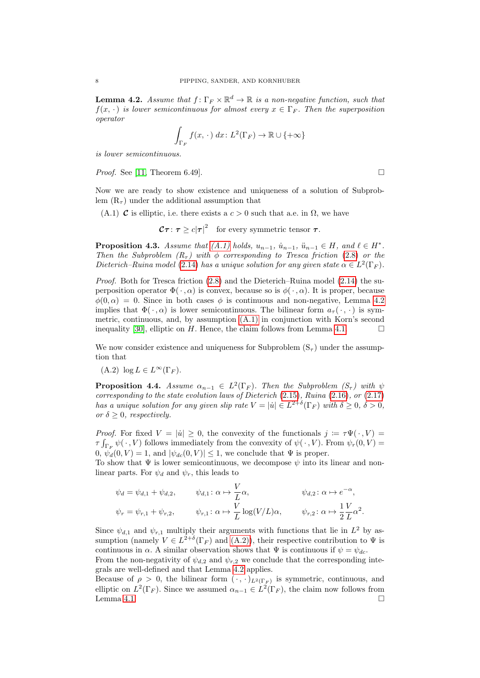<span id="page-8-1"></span>**Lemma 4.2.** Assume that  $f: \Gamma_F \times \mathbb{R}^d \to \mathbb{R}$  is a non-negative function, such that  $f(x, \cdot)$  is lower semicontinuous for almost every  $x \in \Gamma_F$ . Then the superposition operator

$$
\int_{\Gamma_F} f(x, \cdot) dx: L^2(\Gamma_F) \to \mathbb{R} \cup \{+\infty\}
$$

is lower semicontinuous.

*Proof.* See [\[11,](#page-19-14) Theorem 6.49].

Now we are ready to show existence and uniqueness of a solution of Subproblem  $(R<sub>\tau</sub>)$  under the additional assumption that

<span id="page-8-0"></span>(A.1) **C** is elliptic, i.e. there exists a  $c > 0$  such that a.e. in  $\Omega$ , we have

 $\mathcal{C} \boldsymbol{\tau} \colon \boldsymbol{\tau} \geq c |\boldsymbol{\tau}|^2 \quad \text{for every symmetric tensor } \boldsymbol{\tau}.$ 

**Proposition 4.3.** Assume that  $(A.1)$  holds,  $u_{n-1}$ ,  $\dot{u}_{n-1}$ ,  $\ddot{u}_{n-1} \in H$ , and  $\ell \in H^*$ . Then the Subproblem  $(R<sub>τ</sub>)$  with  $\phi$  corresponding to Tresca friction [\(2.8\)](#page-4-2) or the Dieterich–Ruina model [\(2.14\)](#page-6-3) has a unique solution for any given state  $\alpha \in L^2(\Gamma_F)$ .

Proof. Both for Tresca friction [\(2.8\)](#page-4-2) and the Dieterich–Ruina model [\(2.14\)](#page-6-3) the superposition operator  $\Phi(\cdot, \alpha)$  is convex, because so is  $\phi(\cdot, \alpha)$ . It is proper, because  $\phi(0,\alpha) = 0$ . Since in both cases  $\phi$  is continuous and non-negative, Lemma [4.2](#page-8-1) implies that  $\Phi(\cdot, \alpha)$  is lower semicontinuous. The bilinear form  $a_{\tau}(\cdot, \cdot)$  is symmetric, continuous, and, by assumption [\(A.1\)](#page-8-0) in conjunction with Korn's second inequality [\[30\]](#page-19-15), elliptic on H. Hence, the claim follows from Lemma [4.1.](#page-7-1)  $\Box$ 

We now consider existence and uniqueness for Subproblem  $(S_{\tau})$  under the assumption that

<span id="page-8-2"></span> $(A.2) \log L \in L^{\infty}(\Gamma_F).$ 

<span id="page-8-3"></span>**Proposition 4.4.** Assume  $\alpha_{n-1} \in L^2(\Gamma_F)$ . Then the Subproblem  $(S_\tau)$  with  $\psi$ corresponding to the state evolution laws of Dieterich  $(2.15)$ , Ruina  $(2.16)$ , or  $(2.17)$ has a unique solution for any given slip rate  $V = |\dot{u}| \in L^{2+\delta}(\Gamma_F)$  with  $\delta \ge 0, \delta > 0$ , or  $\delta \geq 0$ , respectively.

*Proof.* For fixed  $V = |u| \geq 0$ , the convexity of the functionals  $j := \tau \Psi(\cdot, V)$  $\tau \int_{\Gamma_F} \psi(\cdot, V)$  follows immediately from the convexity of  $\psi(\cdot, V)$ . From  $\psi_r(0, V)$  =  $[0, \psi_d(0, V) = 1$ , and  $|\psi_{dc}(0, V)| \leq 1$ , we conclude that  $\Psi$  is proper.

To show that  $\Psi$  is lower semicontinuous, we decompose  $\psi$  into its linear and nonlinear parts. For  $\psi_d$  and  $\psi_r$ , this leads to

$$
\psi_a = \psi_{d,1} + \psi_{d,2}, \qquad \psi_{d,1} : \alpha \mapsto \frac{V}{L} \alpha, \qquad \psi_{d,2} : \alpha \mapsto e^{-\alpha},
$$
  

$$
\psi_r = \psi_{r,1} + \psi_{r,2}, \qquad \psi_{r,1} : \alpha \mapsto \frac{V}{L} \log(V/L) \alpha, \qquad \psi_{r,2} : \alpha \mapsto \frac{1}{2} \frac{V}{L} \alpha^2.
$$

Since  $\psi_{d,1}$  and  $\psi_{r,1}$  multiply their arguments with functions that lie in  $L^2$  by assumption (namely  $V \in L^{2+\delta}(\Gamma_F)$  and  $(A.2)$ ), their respective contribution to  $\Psi$  is continuous in  $\alpha$ . A similar observation shows that  $\Psi$  is continuous if  $\psi = \psi_{dc}$ .

From the non-negativity of  $\psi_{d,2}$  and  $\psi_{r,2}$  we conclude that the corresponding integrals are well-defined and that Lemma [4.2](#page-8-1) applies.

Because of  $\rho > 0$ , the bilinear form  $(\cdot, \cdot)_{L^2(\Gamma_F)}$  is symmetric, continuous, and elliptic on  $L^2(\Gamma_F)$ . Since we assumed  $\alpha_{n-1} \in L^2(\Gamma_F)$ , the claim now follows from Lemma [4.1.](#page-7-1)  $\Box$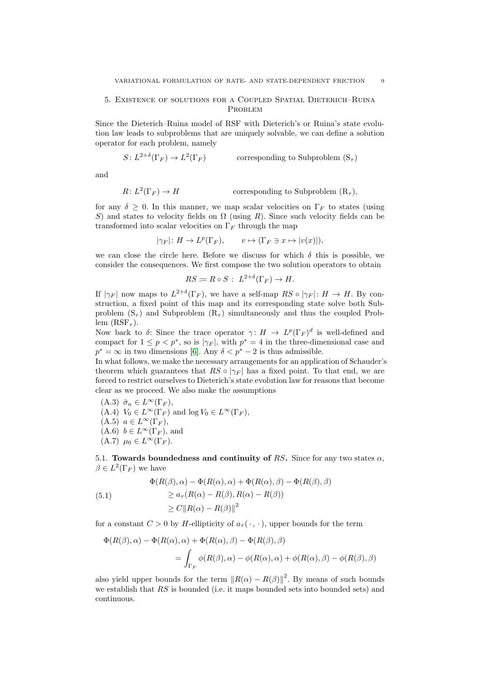# 5. Existence of solutions for a Coupled Spatial Dieterich–Ruina PROBLEM

Since the Dieterich–Ruina model of RSF with Dieterich's or Ruina's state evolution law leads to subproblems that are uniquely solvable, we can define a solution operator for each problem, namely

$$
S: L^{2+\delta}(\Gamma_F) \to L^2(\Gamma_F) \qquad \text{corresponding to Subproblem } (S_{\tau})
$$

and

$$
R: L^{2}(\Gamma_{F}) \to H
$$
 corresponding to Subproblem  $(R_{\tau}),$ 

for any  $\delta \geq 0$ . In this manner, we map scalar velocities on  $\Gamma_F$  to states (using S) and states to velocity fields on  $\Omega$  (using R). Since such velocity fields can be transformed into scalar velocities on  $\Gamma_F$  through the map

 $|\gamma_F|: H \to L^p(\Gamma_F), \qquad v \mapsto (\Gamma_F \ni x \mapsto |v(x)|),$ 

we can close the circle here. Before we discuss for which  $\delta$  this is possible, we consider the consequences. We first compose the two solution operators to obtain

$$
RS \coloneqq R \circ S : L^{2+\delta}(\Gamma_F) \to H.
$$

If  $|\gamma_F|$  now maps to  $L^{2+\delta}(\Gamma_F)$ , we have a self-map  $RS \circ |\gamma_F|: H \to H$ . By construction, a fixed point of this map and its corresponding state solve both Subproblem  $(S_{\tau})$  and Subproblem  $(R_{\tau})$  simultaneously and thus the coupled Problem  $(RSF_{\tau})$ .

Now back to  $\delta$ : Since the trace operator  $\gamma: H \to L^p(\Gamma_F)^d$  is well-defined and compact for  $1 \leq p < p^*$ , so is  $|\gamma_F|$ , with  $p^* = 4$  in the three-dimensional case and  $p^* = \infty$  in two dimensions [\[6\]](#page-18-7). Any  $\delta < p^* - 2$  is thus admissible.

In what follows, we make the necessary arrangements for an application of Schauder's theorem which guarantees that  $RS \circ |\gamma_F|$  has a fixed point. To that end, we are forced to restrict ourselves to Dieterich's state evolution law for reasons that become clear as we proceed. We also make the assumptions

(A.3)  $\bar{\sigma}_n \in L^{\infty}(\Gamma_F)$ , (A.4)  $V_0 \in L^{\infty}(\Gamma_F)$  and  $\log V_0 \in L^{\infty}(\Gamma_F)$ ,  $(A.5)$   $a \in L^{\infty}(\Gamma_F),$  $(A.6)$   $b \in L^{\infty}(\Gamma_F)$ , and  $(A.7)$   $\mu_0 \in L^{\infty}(\Gamma_F)$ .

<span id="page-9-0"></span>5.1. Towards boundedness and continuity of RS. Since for any two states  $\alpha$ ,  $\beta \in L^2(\Gamma_F)$  we have

<span id="page-9-1"></span>(5.1)  
\n
$$
\Phi(R(\beta), \alpha) - \Phi(R(\alpha), \alpha) + \Phi(R(\alpha), \beta) - \Phi(R(\beta), \beta)
$$
\n
$$
\ge a_{\tau}(R(\alpha) - R(\beta), R(\alpha) - R(\beta))
$$
\n
$$
\ge C \|R(\alpha) - R(\beta)\|^2
$$

for a constant  $C > 0$  by H-ellipticity of  $a_{\tau}(\cdot, \cdot)$ , upper bounds for the term

$$
\Phi(R(\beta), \alpha) - \Phi(R(\alpha), \alpha) + \Phi(R(\alpha), \beta) - \Phi(R(\beta), \beta)
$$
  
= 
$$
\int_{\Gamma_F} \phi(R(\beta), \alpha) - \phi(R(\alpha), \alpha) + \phi(R(\alpha), \beta) - \phi(R(\beta), \beta)
$$

also yield upper bounds for the term  $||R(\alpha) - R(\beta)||^2$ . By means of such bounds we establish that RS is bounded (i.e. it maps bounded sets into bounded sets) and continuous.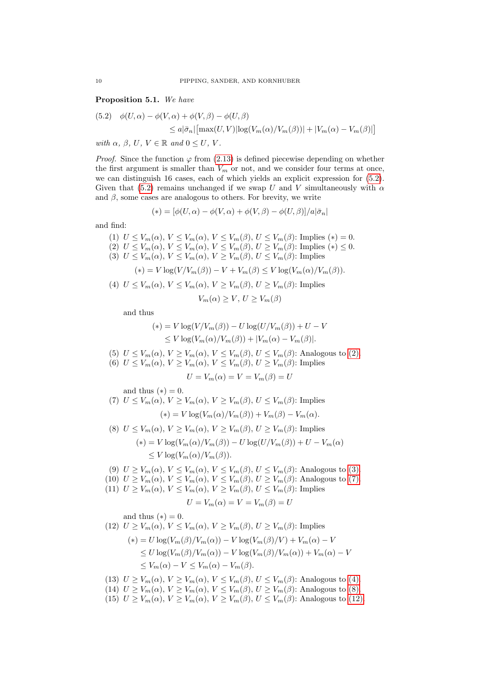<span id="page-10-6"></span>Proposition 5.1. We have

(5.2) 
$$
\phi(U, \alpha) - \phi(V, \alpha) + \phi(V, \beta) - \phi(U, \beta)
$$

$$
\leq a|\bar{\sigma}_n| \left[ \max(U, V) |\log(V_m(\alpha)/V_m(\beta))| + |V_m(\alpha) - V_m(\beta)| \right]
$$

with  $\alpha$ ,  $\beta$ ,  $U$ ,  $V \in \mathbb{R}$  and  $0 \leq U$ ,  $V$ .

*Proof.* Since the function  $\varphi$  from [\(2.13\)](#page-6-7) is defined piecewise depending on whether the first argument is smaller than  $V_m$  or not, and we consider four terms at once, we can distinguish 16 cases, each of which yields an explicit expression for (5.2). Given that (5.2) remains unchanged if we swap U and V simultaneously with  $\alpha$ and  $\beta$ , some cases are analogous to others. For brevity, we write

$$
(*) = [\phi(U, \alpha) - \phi(V, \alpha) + \phi(V, \beta) - \phi(U, \beta)]/a|\bar{\sigma}_n|
$$

and find:

<span id="page-10-1"></span><span id="page-10-0"></span>(1)  $U \leq V_m(\alpha)$ ,  $V \leq V_m(\alpha)$ ,  $V \leq V_m(\beta)$ ,  $U \leq V_m(\beta)$ : Implies  $(*) = 0$ . (2)  $U \leq V_m(\alpha)$ ,  $V \leq V_m(\alpha)$ ,  $V \leq V_m(\beta)$ ,  $U \geq V_m(\beta)$ : Implies  $(*) \leq 0$ . (3)  $U \leq V_m(\alpha)$ ,  $V \leq V_m(\alpha)$ ,  $V \geq V_m(\beta)$ ,  $U \leq V_m(\beta)$ : Implies  $(*) = V \log(V/V_m(\beta)) - V + V_m(\beta) \leq V \log(V_m(\alpha)/V_m(\beta)).$ (4)  $U \leq V_m(\alpha)$ ,  $V \leq V_m(\alpha)$ ,  $V \geq V_m(\beta)$ ,  $U \geq V_m(\beta)$ : Implies

$$
V_m(\alpha) \ge V, \ U \ge V_m(\beta)
$$

<span id="page-10-3"></span>and thus

$$
(*) = V \log(V/V_m(\beta)) - U \log(U/V_m(\beta)) + U - V
$$
  
\n
$$
\leq V \log(V_m(\alpha)/V_m(\beta)) + |V_m(\alpha) - V_m(\beta)|.
$$

- (5)  $U \leq V_m(\alpha)$ ,  $V \geq V_m(\alpha)$ ,  $V \leq V_m(\beta)$ ,  $U \leq V_m(\beta)$ : Analogous to [\(2\).](#page-10-0)
- (6)  $U \leq V_m(\alpha)$ ,  $V \geq V_m(\alpha)$ ,  $V \leq V_m(\beta)$ ,  $U \geq V_m(\beta)$ : Implies

$$
U = V_m(\alpha) = V = V_m(\beta) = U
$$

and thus  $(*) = 0$ .

<span id="page-10-2"></span>(7) 
$$
U \le V_m(\alpha)
$$
,  $V \ge V_m(\alpha)$ ,  $V \ge V_m(\beta)$ ,  $U \le V_m(\beta)$ : Implies  
\n
$$
(*) = V \log(V_m(\alpha)/V_m(\beta)) + V_m(\beta) - V_m(\alpha).
$$
\n(8)  $U \le V_m(\alpha)$   $V \ge V_m(\alpha)$   $V \ge V_m(\beta)$   $U \ge V_m(\beta)$  Implies

<span id="page-10-4"></span>
$$
\begin{aligned} \n\text{(8)} \ \ U &\leq V_m(\alpha), \ V \geq V_m(\alpha), \ V \geq V_m(\beta), \ U \geq V_m(\beta); \text{ implies} \\ \n&\quad \text{(*)} = V \log(V_m(\alpha)/V_m(\beta)) - U \log(U/V_m(\beta)) + U - V_m(\alpha) \\ \n&\leq V \log(V_m(\alpha)/V_m(\beta)). \n\end{aligned}
$$

- (9)  $U \geq V_m(\alpha)$ ,  $V \leq V_m(\alpha)$ ,  $V \leq V_m(\beta)$ ,  $U \leq V_m(\beta)$ : Analogous to [\(3\).](#page-10-1) (10)  $U \geq V_m(\alpha)$ ,  $V \leq V_m(\alpha)$ ,  $V \leq V_m(\beta)$ ,  $U \geq V_m(\beta)$ : Analogous to [\(7\).](#page-10-2)
- (11)  $U \geq V_m(\alpha)$ ,  $V \leq V_m(\alpha)$ ,  $V \geq V_m(\beta)$ ,  $U \leq V_m(\beta)$ : Implies

$$
U = V_m(\alpha) = V = V_m(\beta) = U
$$

and thus  $(*) = 0$ .

<span id="page-10-5"></span>(12) 
$$
U \ge V_m(\alpha)
$$
,  $V \le V_m(\alpha)$ ,  $V \ge V_m(\beta)$ ,  $U \ge V_m(\beta)$ : Implies  
\n
$$
(*) = U \log(V_m(\beta)/V_m(\alpha)) - V \log(V_m(\beta)/V) + V_m(\alpha) - V
$$
\n
$$
\le U \log(V_m(\beta)/V_m(\alpha)) - V \log(V_m(\beta)/V_m(\alpha)) + V_m(\alpha) - V
$$
\n
$$
\le V_m(\alpha) - V \le V_m(\alpha) - V_m(\beta).
$$

- (13)  $U \geq V_m(\alpha)$ ,  $V \geq V_m(\alpha)$ ,  $V \leq V_m(\beta)$ ,  $U \leq V_m(\beta)$ : Analogous to [\(4\).](#page-10-3)
- (14)  $U \geq V_m(\alpha)$ ,  $V \geq V_m(\alpha)$ ,  $V \leq V_m(\beta)$ ,  $U \geq V_m(\beta)$ : Analogous to [\(8\).](#page-10-4)
- (15)  $U \geq V_m(\alpha)$ ,  $V \geq V_m(\alpha)$ ,  $V \geq V_m(\beta)$ ,  $U \leq V_m(\beta)$ : Analogous to [\(12\).](#page-10-5)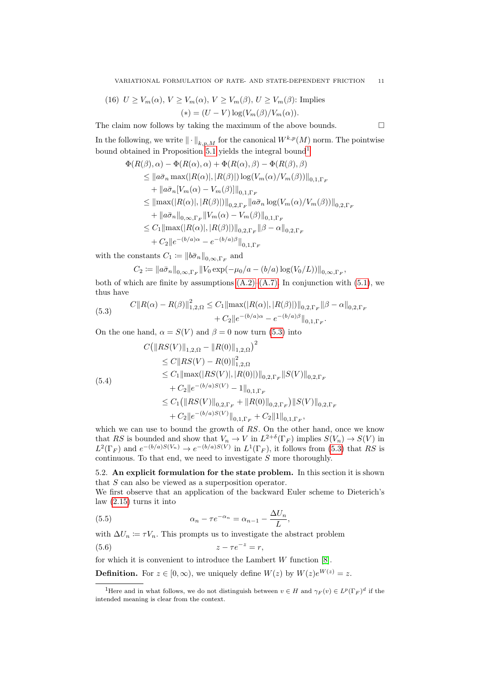(16) 
$$
U \ge V_m(\alpha)
$$
,  $V \ge V_m(\alpha)$ ,  $V \ge V_m(\beta)$ ,  $U \ge V_m(\beta)$ : Implies  
\n
$$
(*) = (U - V) \log(V_m(\beta)/V_m(\alpha)).
$$

The claim now follows by taking the maximum of the above bounds.  $\Box$ 

In the following, we write  $\|\cdot\|_{k,p,M}$  for the canonical  $W^{k,p}(M)$  norm. The pointwise bound obtained in Proposition [5.1](#page-10-6) yields the integral bound[1](#page-11-0)

$$
\Phi(R(\beta), \alpha) - \Phi(R(\alpha), \alpha) + \Phi(R(\alpha), \beta) - \Phi(R(\beta), \beta)
$$
\n
$$
\leq ||a\bar{\sigma}_n \max(|R(\alpha)|, |R(\beta)|) \log(V_m(\alpha)/V_m(\beta))||_{0,1,\Gamma_F}
$$
\n
$$
+ ||a\bar{\sigma}_n[V_m(\alpha) - V_m(\beta)]||_{0,1,\Gamma_F}
$$
\n
$$
\leq ||\max(|R(\alpha)|, |R(\beta)|)||_{0,2,\Gamma_F} ||a\bar{\sigma}_n \log(V_m(\alpha)/V_m(\beta))||_{0,2,\Gamma_F}
$$
\n
$$
+ ||a\bar{\sigma}_n||_{0,\infty,\Gamma_F} ||V_m(\alpha) - V_m(\beta)||_{0,1,\Gamma_F}
$$
\n
$$
\leq C_1 ||\max(|R(\alpha)|, |R(\beta)|) ||_{0,2,\Gamma_F} ||\beta - \alpha||_{0,2,\Gamma_F}
$$
\n
$$
+ C_2 ||e^{-(b/a)\alpha} - e^{-(b/a)\beta} ||_{0,1,\Gamma_F}
$$

with the constants  $C_1 \coloneqq \|b\bar{\sigma}_n\|_{0,\infty,\Gamma_F}$  and

$$
C_2 := ||a\bar{\sigma}_n||_{0,\infty,\Gamma_F} ||V_0 \exp(-\mu_0/a - (b/a) \log(V_0/L))||_{0,\infty,\Gamma_F},
$$

both of which are finite by assumptions  $(A.2)$ – $(A.7)$ . In conjunction with  $(5.1)$ , we thus have

(5.3) 
$$
C||R(\alpha) - R(\beta)||_{1,2,\Omega}^2 \leq C_1 ||\max(|R(\alpha)|, |R(\beta)|)||_{0,2,\Gamma_F} ||\beta - \alpha||_{0,2,\Gamma_F} + C_2 ||e^{-(b/a)\alpha} - e^{-(b/a)\beta}||_{0,1,\Gamma_F}.
$$

On the one hand,  $\alpha = S(V)$  and  $\beta = 0$  now turn (5.3) into

$$
C(||RS(V)||_{1,2,\Omega} - ||R(0)||_{1,2,\Omega})^{2}
$$
  
\n
$$
\leq C||RS(V) - R(0)||_{1,2,\Omega}^{2}
$$
  
\n
$$
\leq C_{1}||\max(|RS(V)|, |R(0)|)||_{0,2,\Gamma_{F}}||S(V)||_{0,2,\Gamma_{F}}
$$
  
\n
$$
+ C_{2}||e^{-(b/a)S(V)} - 1||_{0,1,\Gamma_{F}}
$$
  
\n
$$
\leq C_{1}(||RS(V)||_{0,2,\Gamma_{F}} + ||R(0)||_{0,2,\Gamma_{F}})||S(V)||_{0,2,\Gamma_{F}}
$$
  
\n
$$
+ C_{2}||e^{-(b/a)S(V)}||_{0,1,\Gamma_{F}} + C_{2}||1||_{0,1,\Gamma_{F}},
$$

which we can use to bound the growth of RS. On the other hand, once we know that RS is bounded and show that  $V_n \to V$  in  $L^{2+\delta}(\Gamma_F)$  implies  $S(V_n) \to S(V)$  in  $L^2(\Gamma_F)$  and  $e^{-(b/a)S(V_n)} \to e^{-(b/a)S(V)}$  in  $L^1(\Gamma_F)$ , it follows from (5.3) that RS is continuous. To that end, we need to investigate  $S$  more thoroughly.

5.2. An explicit formulation for the state problem. In this section it is shown that S can also be viewed as a superposition operator.

We first observe that an application of the backward Euler scheme to Dieterich's law [\(2.15\)](#page-6-4) turns it into

(5.5) 
$$
\alpha_n - \tau e^{-\alpha_n} = \alpha_{n-1} - \frac{\Delta U_n}{L},
$$

with  $\Delta U_n \coloneqq \tau V_n$ . This prompts us to investigate the abstract problem

$$
(5.6) \t\t\t z - \tau e^{-z} = r,
$$

for which it is convenient to introduce the Lambert  $W$  function  $[8]$ .

**Definition.** For  $z \in [0, \infty)$ , we uniquely define  $W(z)$  by  $W(z)e^{W(z)} = z$ .

<span id="page-11-0"></span><sup>&</sup>lt;sup>1</sup>Here and in what follows, we do not distinguish between  $v \in H$  and  $\gamma_F(v) \in L^p(\Gamma_F)^d$  if the intended meaning is clear from the context.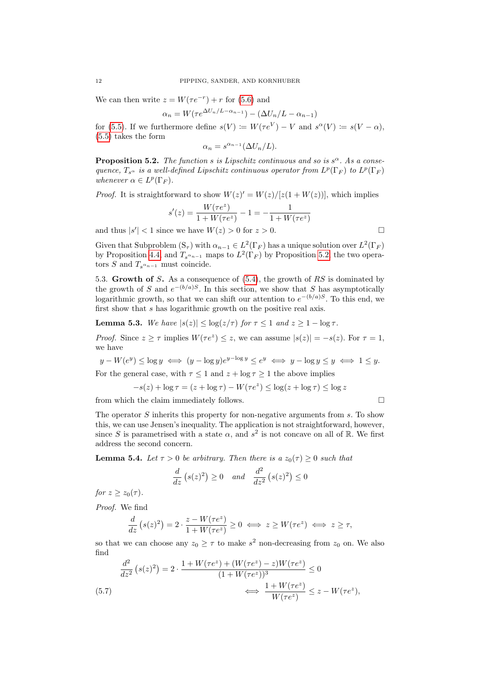We can then write  $z = W(\tau e^{-r}) + r$  for (5.6) and

$$
\alpha_n = W(\tau e^{\Delta U_n/L - \alpha_{n-1}}) - (\Delta U_n/L - \alpha_{n-1})
$$

for (5.5). If we furthermore define  $s(V) \coloneqq W(\tau e^V) - V$  and  $s^{\alpha}(V) \coloneqq s(V - \alpha)$ , (5.5) takes the form

$$
\alpha_n = s^{\alpha_{n-1}} (\Delta U_n / L).
$$

<span id="page-12-0"></span>**Proposition 5.2.** The function s is Lipschitz continuous and so is  $s^{\alpha}$ . As a consequence,  $T_{s^{\alpha}}$  is a well-defined Lipschitz continuous operator from  $L^p(\Gamma_F)$  to  $L^p(\Gamma_F)$ whenever  $\alpha \in L^p(\Gamma_F)$ .

*Proof.* It is straightforward to show  $W(z)' = W(z)/[z(1+W(z))]$ , which implies

$$
s'(z) = \frac{W(\tau e^z)}{1 + W(\tau e^z)} - 1 = -\frac{1}{1 + W(\tau e^z)}
$$
  
nce we have  $W(z) > 0$  for  $z > 0$ 

and thus  $|s'| < 1$  since we have  $W(z) > 0$  for  $z > 0$ .

Given that Subproblem  $(S_{\tau})$  with  $\alpha_{n-1} \in L^2(\Gamma_F)$  has a unique solution over  $L^2(\Gamma_F)$ by Proposition [4.4,](#page-8-3) and  $T_{s^{\alpha_{n-1}}}$  maps to  $L^2(\Gamma_F)$  by Proposition [5.2,](#page-12-0) the two operators S and  $T_{s^{\alpha_{n-1}}}$  must coincide.

5.3. Growth of S. As a consequence of (5.4), the growth of RS is dominated by the growth of S and  $e^{-(b/a)S}$ . In this section, we show that S has asymptotically logarithmic growth, so that we can shift our attention to  $e^{-(b/a)S}$ . To this end, we first show that s has logarithmic growth on the positive real axis.

<span id="page-12-1"></span>**Lemma 5.3.** We have  $|s(z)| \leq \log(z/\tau)$  for  $\tau \leq 1$  and  $z \geq 1 - \log \tau$ .

*Proof.* Since  $z \geq \tau$  implies  $W(\tau e^z) \leq z$ , we can assume  $|s(z)| = -s(z)$ . For  $\tau = 1$ , we have

$$
y - W(e^y) \le \log y \iff (y - \log y)e^{y - \log y} \le e^y \iff y - \log y \le y \iff 1 \le y.
$$

For the general case, with  $\tau \leq 1$  and  $z + \log \tau \geq 1$  the above implies

$$
-s(z) + \log \tau = (z + \log \tau) - W(\tau e^z) \le \log(z + \log \tau) \le \log z
$$

from which the claim immediately follows.  $\Box$ 

The operator S inherits this property for non-negative arguments from s. To show this, we can use Jensen's inequality. The application is not straightforward, however, since S is parametrised with a state  $\alpha$ , and  $s^2$  is not concave on all of R. We first address the second concern.

<span id="page-12-2"></span>**Lemma 5.4.** Let  $\tau > 0$  be arbitrary. Then there is a  $z_0(\tau) \geq 0$  such that

$$
\frac{d}{dz}\left(s(z)^2\right) \ge 0 \quad and \quad \frac{d^2}{dz^2}\left(s(z)^2\right) \le 0
$$

for  $z \geq z_0(\tau)$ .

Proof. We find

$$
\frac{d}{dz}\left(s(z)^2\right) = 2 \cdot \frac{z - W(\tau e^z)}{1 + W(\tau e^z)} \ge 0 \iff z \ge W(\tau e^z) \iff z \ge \tau,
$$

so that we can choose any  $z_0 \geq \tau$  to make  $s^2$  non-decreasing from  $z_0$  on. We also find

$$
\frac{d^2}{dz^2} \left( s(z)^2 \right) = 2 \cdot \frac{1 + W(\tau e^z) + (W(\tau e^z) - z)W(\tau e^z)}{(1 + W(\tau e^z))^3} \le 0
$$
\n
$$
(5.7) \qquad \Longleftrightarrow \frac{1 + W(\tau e^z)}{W(\tau e^z)} \le z - W(\tau e^z),
$$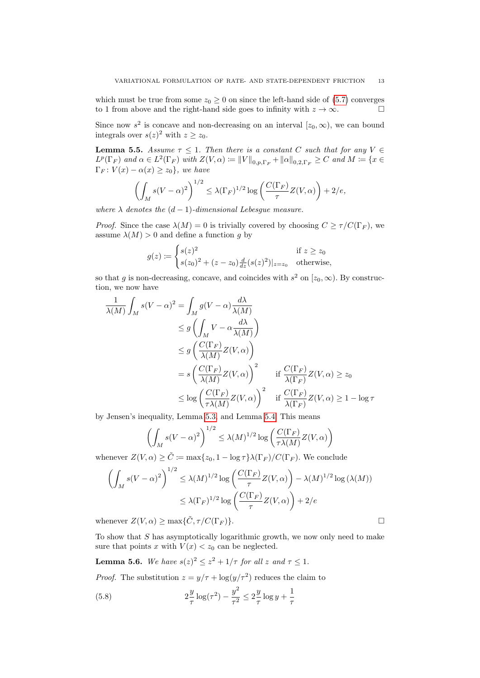which must be true from some  $z_0 \geq 0$  on since the left-hand side of (5.7) converges to 1 from above and the right-hand side goes to infinity with  $z \to \infty$ .

Since now  $s^2$  is concave and non-decreasing on an interval  $[z_0, \infty)$ , we can bound integrals over  $s(z)^2$  with  $z \ge z_0$ .

<span id="page-13-1"></span>**Lemma 5.5.** Assume  $\tau \leq 1$ . Then there is a constant C such that for any  $V \in$  $L^p(\Gamma_F)$  and  $\alpha \in L^2(\Gamma_F)$  with  $Z(V, \alpha) \coloneqq ||V||_{0,p,\Gamma_F} + ||\alpha||_{0,2,\Gamma_F} \geq C$  and  $M \coloneqq \{x \in$  $\Gamma_F: V(x) - \alpha(x) \geq z_0$ , we have

$$
\left(\int_M s(V-\alpha)^2\right)^{1/2} \le \lambda(\Gamma_F)^{1/2} \log\left(\frac{C(\Gamma_F)}{\tau}Z(V,\alpha)\right) + 2/e,
$$

where  $\lambda$  denotes the  $(d-1)$ -dimensional Lebesque measure.

*Proof.* Since the case  $\lambda(M) = 0$  is trivially covered by choosing  $C \ge \tau/C(\Gamma_F)$ , we assume  $\lambda(M) > 0$  and define a function g by

$$
g(z) := \begin{cases} s(z)^2 & \text{if } z \ge z_0 \\ s(z_0)^2 + (z - z_0) \frac{d}{dz} (s(z)^2)|_{z=z_0} & \text{otherwise,} \end{cases}
$$

so that g is non-decreasing, concave, and coincides with  $s^2$  on  $[z_0, \infty)$ . By construction, we now have

$$
\frac{1}{\lambda(M)} \int_M s(V - \alpha)^2 = \int_M g(V - \alpha) \frac{d\lambda}{\lambda(M)}
$$
\n
$$
\leq g \left( \int_M V - \alpha \frac{d\lambda}{\lambda(M)} \right)
$$
\n
$$
\leq g \left( \frac{C(\Gamma_F)}{\lambda(M)} Z(V, \alpha) \right)
$$
\n
$$
= s \left( \frac{C(\Gamma_F)}{\lambda(M)} Z(V, \alpha) \right)^2 \quad \text{if } \frac{C(\Gamma_F)}{\lambda(\Gamma_F)} Z(V, \alpha) \geq z_0
$$
\n
$$
\leq \log \left( \frac{C(\Gamma_F)}{\tau \lambda(M)} Z(V, \alpha) \right)^2 \quad \text{if } \frac{C(\Gamma_F)}{\lambda(\Gamma_F)} Z(V, \alpha) \geq 1 - \log \tau
$$

by Jensen's inequality, Lemma [5.3,](#page-12-1) and Lemma [5.4.](#page-12-2) This means

$$
\left(\int_M s(V-\alpha)^2\right)^{1/2} \le \lambda(M)^{1/2} \log\left(\frac{C(\Gamma_F)}{\tau \lambda(M)} Z(V,\alpha)\right)
$$

whenever  $Z(V, \alpha) \geq \tilde{C} := \max\{z_0, 1 - \log \tau\} \lambda(\Gamma_F) / C(\Gamma_F)$ . We conclude

$$
\left(\int_M s(V-\alpha)^2\right)^{1/2} \le \lambda(M)^{1/2} \log\left(\frac{C(\Gamma_F)}{\tau} Z(V,\alpha)\right) - \lambda(M)^{1/2} \log\left(\lambda(M)\right)
$$

$$
\le \lambda(\Gamma_F)^{1/2} \log\left(\frac{C(\Gamma_F)}{\tau} Z(V,\alpha)\right) + 2/e
$$

whenever  $Z(V, \alpha) \ge \max{\{\tilde{C}, \tau/C(\Gamma_F)\}}$ .

To show that S has asymptotically logarithmic growth, we now only need to make sure that points x with  $V(x) < z_0$  can be neglected.

<span id="page-13-0"></span>**Lemma 5.6.** We have 
$$
s(z)^2 \leq z^2 + 1/\tau
$$
 for all z and  $\tau \leq 1$ .

*Proof.* The substitution  $z = y/\tau + \log(y/\tau^2)$  reduces the claim to

(5.8) 
$$
2\frac{y}{\tau}\log(\tau^2) - \frac{y^2}{\tau^2} \le 2\frac{y}{\tau}\log y + \frac{1}{\tau}
$$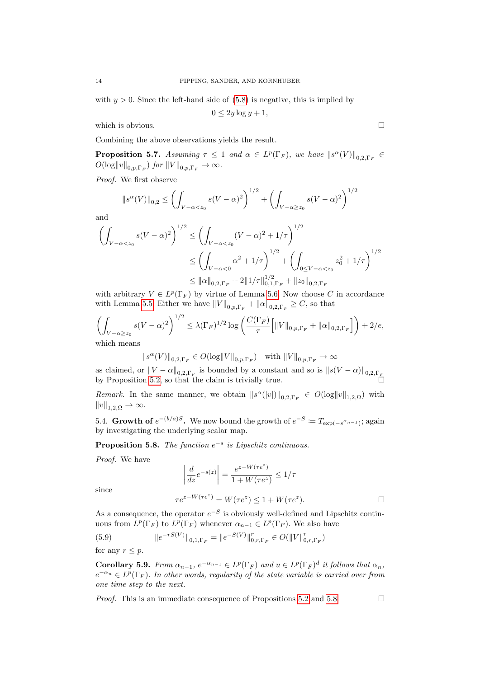with  $y > 0$ . Since the left-hand side of (5.8) is negative, this is implied by

$$
0 \le 2y \log y + 1,
$$

which is obvious.  $\Box$ 

Combining the above observations yields the result.

<span id="page-14-2"></span>**Proposition 5.7.** Assuming  $\tau \leq 1$  and  $\alpha \in L^p(\Gamma_F)$ , we have  $||s^{\alpha}(V)||_{0,2,\Gamma_F} \in$  $O(\log ||v||_{0,p,\Gamma_F})$  for  $||V||_{0,p,\Gamma_F} \to \infty$ .

Proof. We first observe

$$
||s^{\alpha}(V)||_{0,2} \le \left(\int_{V-\alpha < z_0} s(V-\alpha)^2\right)^{1/2} + \left(\int_{V-\alpha \ge z_0} s(V-\alpha)^2\right)^{1/2}
$$

and

$$
\left(\int_{V-\alpha  

$$
\le \left(\int_{V-\alpha<0} \alpha^2 + 1/\tau\right)^{1/2} + \left(\int_{0\le V-\alpha  

$$
\le ||\alpha||_{0,2,\Gamma_F} + 2||1/\tau||_{0,1,\Gamma_F}^{1/2} + ||z_0||_{0,2,\Gamma_F}
$$
$$
$$

with arbitrary  $V \in L^p(\Gamma_F)$  by virtue of Lemma [5.6.](#page-13-0) Now choose C in accordance with Lemma [5.5.](#page-13-1) Either we have  $||V||_{0,p,\Gamma_F} + ||\alpha||_{0,2,\Gamma_F} \geq C$ , so that

$$
\left(\int_{V-\alpha\geq z_0} s(V-\alpha)^2\right)^{1/2} \leq \lambda(\Gamma_F)^{1/2} \log\left(\frac{C(\Gamma_F)}{\tau} \Big[\|V\|_{0,p,\Gamma_F} + \|\alpha\|_{0,2,\Gamma_F}\Big]\right) + 2/e,
$$
\nwhich means

which means

$$
\|s^\alpha(V)\|_{0,2,\Gamma_F}\in O(\log\|V\|_{0,p,\Gamma_F})\quad\text{with $ \|V\|_{0,p,\Gamma_F}\to\infty$}
$$

as claimed, or  $||V - \alpha||_{0,2,\Gamma_F}$  is bounded by a constant and so is  $||s(V - \alpha)||_{0,2,\Gamma_F}$ by Proposition [5.2,](#page-12-0) so that the claim is trivially true.

*Remark*. In the same manner, we obtain  $||s^{\alpha}(|v|)||_{0,2,\Gamma_F} \in O(\log ||v||_{1,2,\Omega})$  with  $||v||_{1,2,\Omega} \rightarrow \infty.$ 

5.4. Growth of  $e^{-(b/a)S}$ . We now bound the growth of  $e^{-S} \coloneqq T_{\exp(-s^{\alpha_{n-1}})}$ ; again by investigating the underlying scalar map.

<span id="page-14-0"></span>**Proposition 5.8.** The function  $e^{-s}$  is Lipschitz continuous.

Proof. We have

$$
\left| \frac{d}{dz} e^{-s(z)} \right| = \frac{e^{z - W(\tau e^z)}}{1 + W(\tau e^z)} \le 1/\tau
$$
  

$$
\tau e^{z - W(\tau e^z)} = W(\tau e^z) \le 1 + W(\tau e^z).
$$

since

As a consequence, the operator  $e^{-S}$  is obviously well-defined and Lipschitz continuous from  $L^p(\Gamma_F)$  to  $L^p(\Gamma_F)$  whenever  $\alpha_{n-1} \in L^p(\Gamma_F)$ . We also have

(5.9) 
$$
||e^{-rS(V)}||_{0,1,\Gamma_F} = ||e^{-S(V)}||_{0,r,\Gamma_F}^r \in O(||V||_{0,r,\Gamma_F}^r)
$$
 for any  $r < p$ .

<span id="page-14-1"></span>**Corollary 5.9.** From  $\alpha_{n-1}$ ,  $e^{-\alpha_{n-1}} \in L^p(\Gamma_F)$  and  $u \in L^p(\Gamma_F)^d$  it follows that  $\alpha_n$ ,  $e^{-\alpha_n} \in L^p(\Gamma_F)$ . In other words, regularity of the state variable is carried over from one time step to the next.

*Proof.* This is an immediate consequence of Propositions [5.2](#page-12-0) and [5.8.](#page-14-0)  $\Box$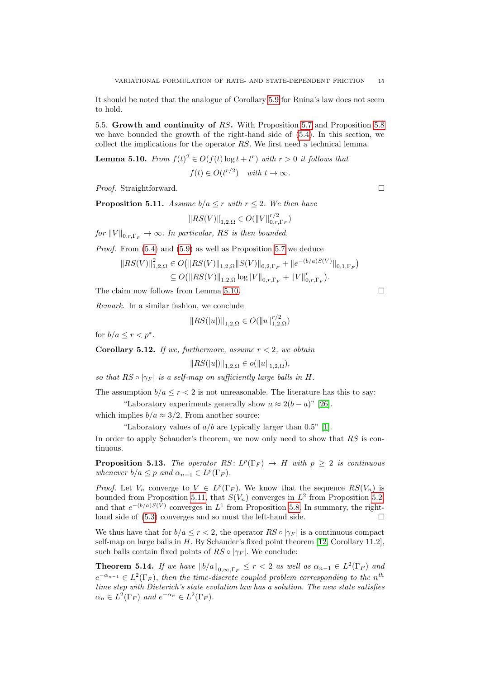It should be noted that the analogue of Corollary [5.9](#page-14-1) for Ruina's law does not seem to hold.

5.5. Growth and continuity of RS. With Proposition [5.7](#page-14-2) and Proposition [5.8](#page-14-0) we have bounded the growth of the right-hand side of (5.4). In this section, we collect the implications for the operator RS. We first need a technical lemma.

<span id="page-15-0"></span>**Lemma 5.10.** From  $f(t)^2 \in O(f(t) \log t + t^r)$  with  $r > 0$  it follows that  $f(t) \in O(t^{r/2})$  with  $t \to \infty$ .

*Proof.* Straightforward. □

<span id="page-15-1"></span>**Proposition 5.11.** Assume  $b/a \leq r$  with  $r \leq 2$ . We then have

$$
||RS(V)||_{1,2,\Omega} \in O(||V||_{0,r,\Gamma_F}^{r/2})
$$

for  $||V||_{0,r,\Gamma_F} \to \infty$ . In particular, RS is then bounded.

Proof. From (5.4) and (5.9) as well as Proposition [5.7](#page-14-2) we deduce

$$
||RS(V)||_{1,2,\Omega}^{2} \in O(||RS(V)||_{1,2,\Omega} ||S(V)||_{0,2,\Gamma_{F}} + ||e^{-(b/a)S(V)}||_{0,1,\Gamma_{F}})
$$
  
\n
$$
\subseteq O(||RS(V)||_{1,2,\Omega} \log ||V||_{0,r,\Gamma_{F}} + ||V||_{0,r,\Gamma_{F}}^{r}).
$$

The claim now follows from Lemma [5.10.](#page-15-0)

Remark. In a similar fashion, we conclude

$$
||RS(|u|)||_{1,2,\Omega} \in O(||u||_{1,2,\Omega}^{r/2})
$$

for  $b/a \leq r < p^*$ .

**Corollary 5.12.** If we, furthermore, assume  $r < 2$ , we obtain

$$
||RS(|u|)||_{1,2,\Omega} \in o(||u||_{1,2,\Omega}),
$$

so that  $RS \circ |\gamma_F|$  is a self-map on sufficiently large balls in H.

The assumption  $b/a \le r < 2$  is not unreasonable. The literature has this to say: "Laboratory experiments generally show  $a \approx 2(b-a)$ " [\[26\]](#page-19-6).

which implies  $b/a \approx 3/2$ . From another source:

"Laboratory values of  $a/b$  are typically larger than 0.5" [\[1\]](#page-18-4).

In order to apply Schauder's theorem, we now only need to show that RS is continuous.

**Proposition 5.13.** The operator  $RS: L^p(\Gamma_F) \to H$  with  $p \geq 2$  is continuous whenever  $b/a \leq p$  and  $\alpha_{n-1} \in L^p(\Gamma_F)$ .

*Proof.* Let  $V_n$  converge to  $V \in L^p(\Gamma_F)$ . We know that the sequence  $RS(V_n)$  is bounded from Proposition [5.11,](#page-15-1) that  $S(V_n)$  converges in  $L^2$  from Proposition [5.2,](#page-12-0) and that  $e^{-(b/a)S(V)}$  converges in  $L^1$  from Proposition [5.8.](#page-14-0) In summary, the righthand side of (5.3) converges and so must the left-hand side.

We thus have that for  $b/a \leq r < 2$ , the operator  $RS \circ |\gamma_F|$  is a continuous compact self-map on large balls in  $H$ . By Schauder's fixed point theorem [\[12,](#page-19-16) Corollary 11.2], such balls contain fixed points of  $RS \circ |\gamma_F|$ . We conclude:

**Theorem 5.14.** If we have  $||b/a||_{0,\infty,\Gamma_F} \leq r < 2$  as well as  $\alpha_{n-1} \in L^2(\Gamma_F)$  and  $e^{-\alpha_{n-1}} \in L^2(\Gamma_F)$ , then the time-discrete coupled problem corresponding to the n<sup>th</sup> time step with Dieterich's state evolution law has a solution. The new state satisfies  $\alpha_n \in L^2(\Gamma_F)$  and  $e^{-\alpha_n} \in L^2(\Gamma_F)$ .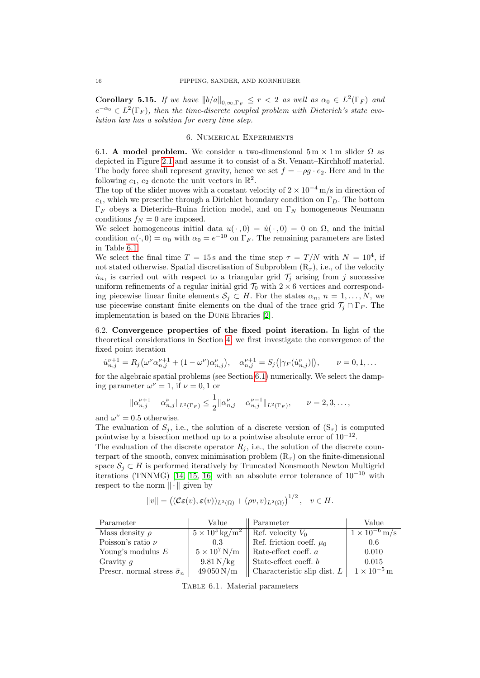**Corollary 5.15.** If we have  $||b/a||_{0,\infty,\Gamma_F} \leq r < 2$  as well as  $\alpha_0 \in L^2(\Gamma_F)$  and  $e^{-\alpha_0} \in L^2(\Gamma_F)$ , then the time-discrete coupled problem with Dieterich's state evolution law has a solution for every time step.

### 6. Numerical Experiments

6.1. A model problem. We consider a two-dimensional  $5 \text{ m} \times 1 \text{ m}$  slider  $\Omega$  as depicted in Figure 2.1 and assume it to consist of a St. Venant–Kirchhoff material. The body force shall represent gravity, hence we set  $f = -\rho g \cdot e_2$ . Here and in the following  $e_1, e_2$  denote the unit vectors in  $\mathbb{R}^2$ .

The top of the slider moves with a constant velocity of  $2 \times 10^{-4}$  m/s in direction of  $e_1$ , which we prescribe through a Dirichlet boundary condition on  $\Gamma_D$ . The bottom  $\Gamma_F$  obeys a Dieterich–Ruina friction model, and on  $\Gamma_N$  homogeneous Neumann conditions  $f_N = 0$  are imposed.

We select homogeneous initial data  $u(\cdot, 0) = \dot{u}(\cdot, 0) = 0$  on  $\Omega$ , and the initial condition  $\alpha(\cdot, 0) = \alpha_0$  with  $\alpha_0 = e^{-10}$  on  $\Gamma_F$ . The remaining parameters are listed in Table 6.1.

We select the final time  $T = 15$  s and the time step  $\tau = T/N$  with  $N = 10^4$ , if not stated otherwise. Spatial discretisation of Subproblem  $(R_\tau)$ , i.e., of the velocity  $u_n$ , is carried out with respect to a triangular grid  $\mathcal{T}_j$  arising from j successive uniform refinements of a regular initial grid  $\mathcal{T}_0$  with  $2 \times 6$  vertices and corresponding piecewise linear finite elements  $S_j \subset H$ . For the states  $\alpha_n$ ,  $n = 1, \ldots, N$ , we use piecewise constant finite elements on the dual of the trace grid  $\mathcal{T}_j \cap \Gamma_F$ . The implementation is based on the Dune libraries [\[2\]](#page-18-9).

6.2. Convergence properties of the fixed point iteration. In light of the theoretical considerations in Section 4, we first investigate the convergence of the fixed point iteration

$$
\dot{u}_{n,j}^{\nu+1} = R_j(\omega^{\nu}\alpha_{n,j}^{\nu+1} + (1 - \omega^{\nu})\alpha_{n,j}^{\nu}), \quad \alpha_{n,j}^{\nu+1} = S_j(|\gamma_F(\dot{u}_{n,j}^{\nu})|), \qquad \nu = 0, 1, \dots
$$

for the algebraic spatial problems (see Section 6.1) numerically. We select the damping parameter  $\omega^{\nu} = 1$ , if  $\nu = 0, 1$  or

$$
\|\alpha_{n,j}^{\nu+1} - \alpha_{n,j}^{\nu}\|_{L^2(\Gamma_F)} \le \frac{1}{2} \|\alpha_{n,j}^{\nu} - \alpha_{n,j}^{\nu-1}\|_{L^2(\Gamma_F)}, \qquad \nu = 2, 3, \dots,
$$

and  $\omega^{\nu} = 0.5$  otherwise.

The evaluation of  $S_i$ , i.e., the solution of a discrete version of  $(S_\tau)$  is computed pointwise by a bisection method up to a pointwise absolute error of  $10^{-12}$ .

The evaluation of the discrete operator  $R_i$ , i.e., the solution of the discrete counterpart of the smooth, convex minimisation problem  $(R<sub>\tau</sub>)$  on the finite-dimensional space  $S_i \subset H$  is performed iteratively by Truncated Nonsmooth Newton Multigrid iterations (TNNMG) [\[14,](#page-19-17) [15,](#page-19-18) [16\]](#page-19-19) with an absolute error tolerance of  $10^{-10}$  with respect to the norm  $\|\cdot\|$  given by

$$
||v|| = ((\mathcal{C}\varepsilon(v), \varepsilon(v))_{L^2(\Omega)} + (\rho v, v)_{L^2(\Omega)})^{1/2}, \quad v \in H.
$$

| Parameter                              | Value                          | Parameter                     | Value                  |
|----------------------------------------|--------------------------------|-------------------------------|------------------------|
| Mass density $\rho$                    | $5 \times 10^3 \text{ kg/m}^2$ | Ref. velocity $V_0$           | $1 \times 10^{-6}$ m/s |
| Poisson's ratio $\nu$                  | 0.3                            | Ref. friction coeff. $\mu_0$  | 0.6                    |
| Young's modulus $E$                    | $5 \times 10^7$ N/m            | Rate-effect coeff. $a$        | 0.010                  |
| Gravity $q$                            | $9.81\,\mathrm{N/kg}$          | State-effect coeff. b         | 0.015                  |
| Prescr. normal stress $\bar{\sigma}_n$ | $49050\,\mathrm{N/m}$          | Characteristic slip dist. $L$ | $1 \times 10^{-5}$ m   |

TABLE 6.1. Material parameters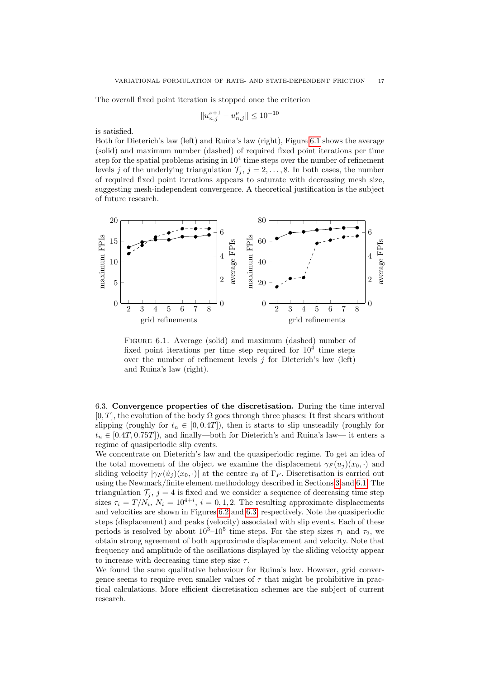The overall fixed point iteration is stopped once the criterion

$$
||u^{\nu+1}_{n,j}-u^{\nu}_{n,j}||\leq 10^{-10}
$$

is satisfied.

Both for Dieterich's law (left) and Ruina's law (right), Figure 6.1 shows the average (solid) and maximum number (dashed) of required fixed point iterations per time step for the spatial problems arising in  $10^4$  time steps over the number of refinement levels j of the underlying triangulation  $\mathcal{T}_j$ ,  $j = 2, \ldots, 8$ . In both cases, the number of required fixed point iterations appears to saturate with decreasing mesh size, suggesting mesh-independent convergence. A theoretical justification is the subject of future research.



FIGURE 6.1. Average (solid) and maximum (dashed) number of fixed point iterations per time step required for  $10^4$  time steps over the number of refinement levels  $j$  for Dieterich's law (left) and Ruina's law (right).

6.3. Convergence properties of the discretisation. During the time interval  $[0, T]$ , the evolution of the body  $\Omega$  goes through three phases: It first shears without slipping (roughly for  $t_n \in [0, 0.4T]$ ), then it starts to slip unsteadily (roughly for  $t_n \in [0.4T, 0.75T]$ , and finally—both for Dieterich's and Ruina's law— it enters a regime of quasiperiodic slip events.

We concentrate on Dieterich's law and the quasiperiodic regime. To get an idea of the total movement of the object we examine the displacement  $\gamma_F(u_i)(x_0, \cdot)$  and sliding velocity  $|\gamma_F(u_i)(x_0, \cdot)|$  at the centre  $x_0$  of  $\Gamma_F$ . Discretisation is carried out using the Newmark/finite element methodology described in Sections 3 and 6.1. The triangulation  $\mathcal{T}_j$ ,  $j = 4$  is fixed and we consider a sequence of decreasing time step sizes  $\tau_i = T/N_i$ ,  $N_i = 10^{4+i}$ ,  $i = 0, 1, 2$ . The resulting approximate displacements and velocities are shown in Figures 6.2 and 6.3, respectively. Note the quasiperiodic steps (displacement) and peaks (velocity) associated with slip events. Each of these periods is resolved by about  $10^3-10^5$  time steps. For the step sizes  $\tau_1$  and  $\tau_2$ , we obtain strong agreement of both approximate displacement and velocity. Note that frequency and amplitude of the oscillations displayed by the sliding velocity appear to increase with decreasing time step size  $\tau$ .

We found the same qualitative behaviour for Ruina's law. However, grid convergence seems to require even smaller values of  $\tau$  that might be prohibitive in practical calculations. More efficient discretisation schemes are the subject of current research.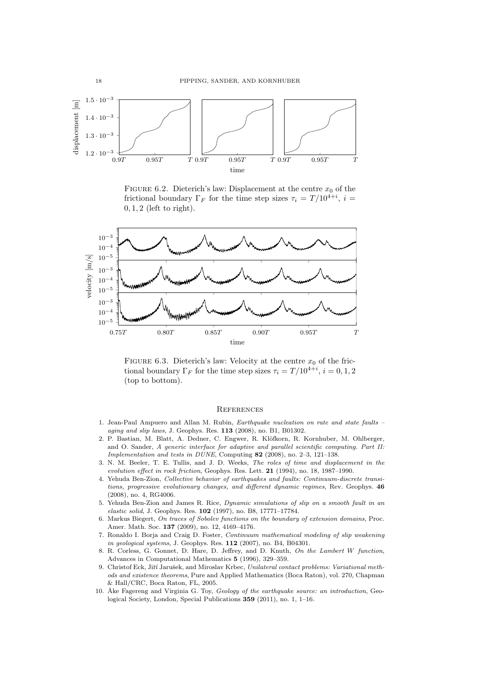

FIGURE 6.2. Dieterich's law: Displacement at the centre  $x_0$  of the frictional boundary  $\Gamma_F$  for the time step sizes  $\tau_i = T/10^{4+i}$ ,  $i =$  $0, 1, 2$  (left to right).



FIGURE 6.3. Dieterich's law: Velocity at the centre  $x_0$  of the frictional boundary  $\Gamma_F$  for the time step sizes  $\tau_i = T/10^{4+i}$ ,  $i = 0, 1, 2$ (top to bottom).

## **REFERENCES**

- <span id="page-18-4"></span>1. Jean-Paul Ampuero and Allan M. Rubin, Earthquake nucleation on rate and state faults – aging and slip laws, J. Geophys. Res. 113 (2008), no. B1, B01302.
- <span id="page-18-9"></span>2. P. Bastian, M. Blatt, A. Dedner, C. Engwer, R. Klöfkorn, R. Kornhuber, M. Ohlberger, and O. Sander, A generic interface for adaptive and parallel scientific computing. Part II: Implementation and tests in DUNE, Computing 82 (2008), no. 2–3, 121–138.
- <span id="page-18-5"></span>3. N. M. Beeler, T. E. Tullis, and J. D. Weeks, The roles of time and displacement in the evolution effect in rock friction, Geophys. Res. Lett. 21 (1994), no. 18, 1987–1990.
- <span id="page-18-0"></span>4. Yehuda Ben-Zion, Collective behavior of earthquakes and faults: Continuum-discrete transitions, progressive evolutionary changes, and different dynamic regimes, Rev. Geophys. 46 (2008), no. 4, RG4006.
- <span id="page-18-2"></span>5. Yehuda Ben-Zion and James R. Rice, Dynamic simulations of slip on a smooth fault in an elastic solid, J. Geophys. Res. 102 (1997), no. B8, 17771–17784.
- <span id="page-18-7"></span>6. Markus Biegert, On traces of Sobolev functions on the boundary of extension domains, Proc. Amer. Math. Soc. 137 (2009), no. 12, 4169–4176.
- <span id="page-18-3"></span>7. Ronaldo I. Borja and Craig D. Foster, Continuum mathematical modeling of slip weakening in geological systems, J. Geophys. Res. 112 (2007), no. B4, B04301.
- <span id="page-18-8"></span>8. R. Corless, G. Gonnet, D. Hare, D. Jeffrey, and D. Knuth, On the Lambert W function, Advances in Computational Mathematics 5 (1996), 329–359.
- <span id="page-18-1"></span>9. Christof Eck, Jiří Jarušek, and Miroslav Krbec, Unilateral contact problems: Variational methods and existence theorems, Pure and Applied Mathematics (Boca Raton), vol. 270, Chapman & Hall/CRC, Boca Raton, FL, 2005.
- <span id="page-18-6"></span>10. Åke Fagereng and Virginia G. Toy, Geology of the earthquake source: an introduction, Geological Society, London, Special Publications 359 (2011), no. 1, 1–16.